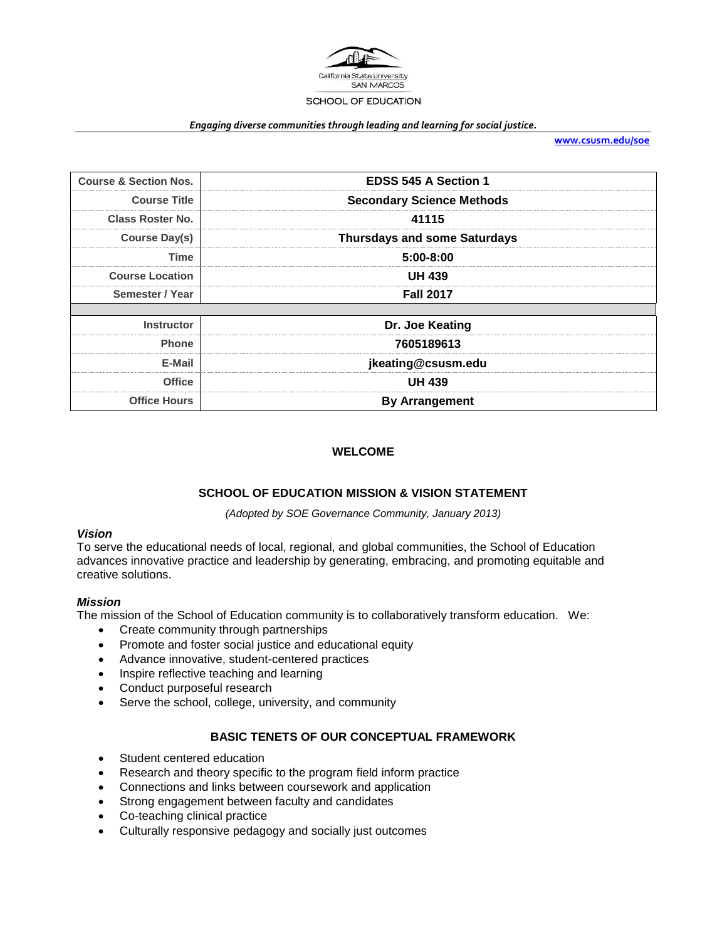

#### *Engaging diverse communities through leading and learning for social justice.*

**[www.csusm.edu/soe](http://www.csusm.edu/soe)**

| <b>Course &amp; Section Nos.</b> | <b>EDSS 545 A Section 1</b>         |
|----------------------------------|-------------------------------------|
| <b>Course Title</b>              | <b>Secondary Science Methods</b>    |
| <b>Class Roster No.</b>          | 41115                               |
| <b>Course Day(s)</b>             | <b>Thursdays and some Saturdays</b> |
| Time                             | $5:00 - 8:00$                       |
| <b>Course Location</b>           | <b>UH 439</b>                       |
| Semester / Year                  | <b>Fall 2017</b>                    |
|                                  |                                     |
| <b>Instructor</b>                | Dr. Joe Keating                     |
| <b>Phone</b>                     | 7605189613                          |
| E-Mail                           | jkeating@csusm.edu                  |
| <b>Office</b>                    | <b>UH 439</b>                       |
| <b>Office Hours</b>              | <b>By Arrangement</b>               |

### **WELCOME**

#### **SCHOOL OF EDUCATION MISSION & VISION STATEMENT**

*(Adopted by SOE Governance Community, January 2013)*

#### *Vision*

To serve the educational needs of local, regional, and global communities, the School of Education advances innovative practice and leadership by generating, embracing, and promoting equitable and creative solutions.

#### *Mission*

The mission of the School of Education community is to collaboratively transform education. We:

- Create community through partnerships
- Promote and foster social justice and educational equity
- Advance innovative, student-centered practices
- Inspire reflective teaching and learning
- Conduct purposeful research
- Serve the school, college, university, and community

#### **BASIC TENETS OF OUR CONCEPTUAL FRAMEWORK**

- Student centered education
- Research and theory specific to the program field inform practice
- Connections and links between coursework and application
- Strong engagement between faculty and candidates
- Co-teaching clinical practice
- Culturally responsive pedagogy and socially just outcomes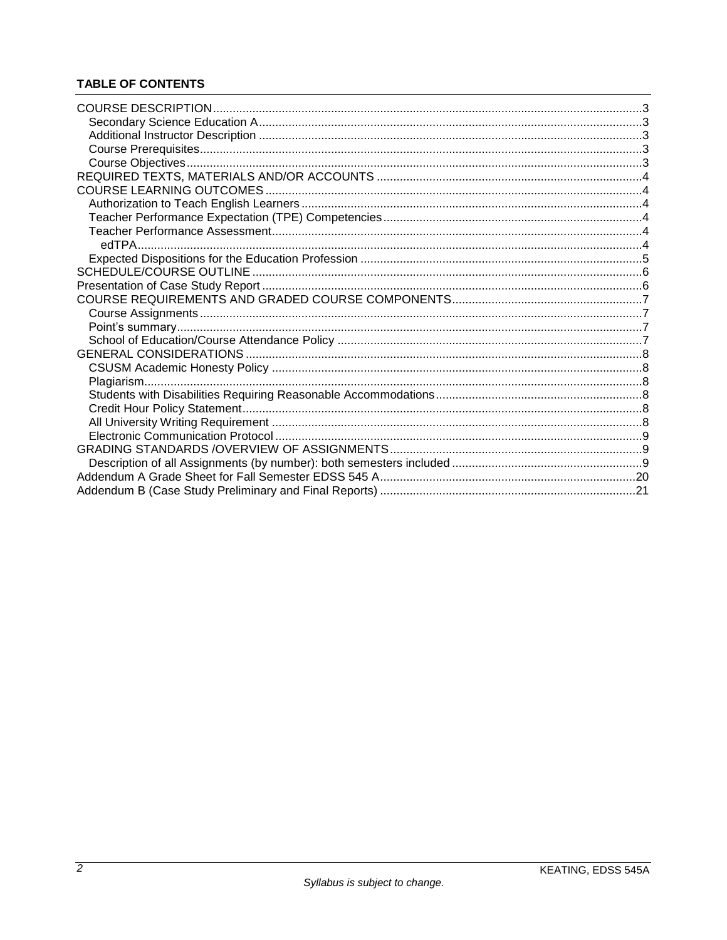# **TABLE OF CONTENTS**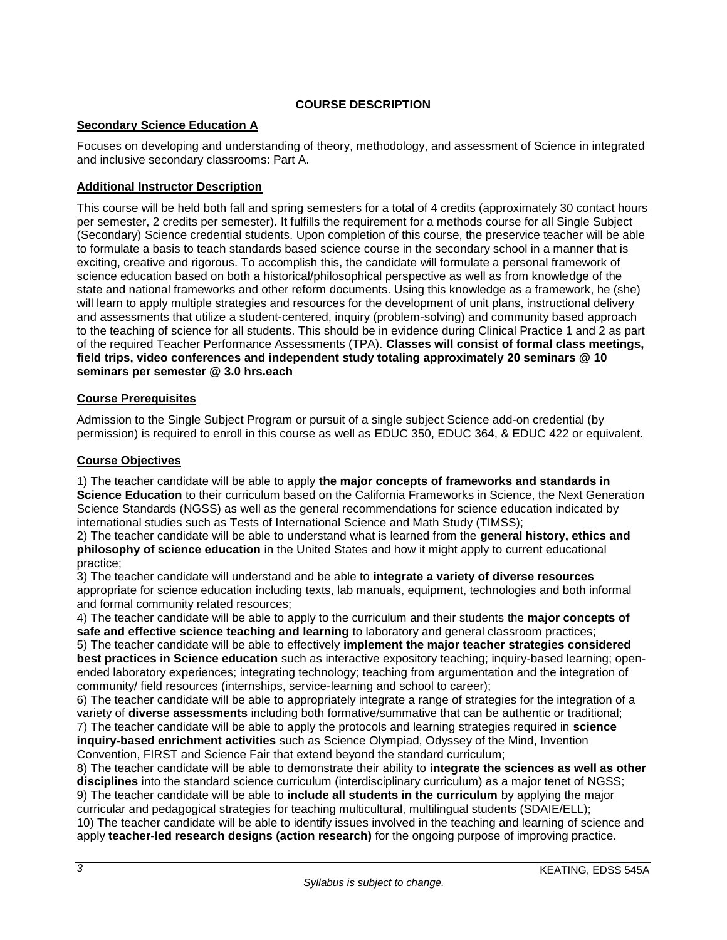# **COURSE DESCRIPTION**

# <span id="page-2-1"></span><span id="page-2-0"></span>**Secondary Science Education A**

Focuses on developing and understanding of theory, methodology, and assessment of Science in integrated and inclusive secondary classrooms: Part A.

# <span id="page-2-2"></span>**Additional Instructor Description**

This course will be held both fall and spring semesters for a total of 4 credits (approximately 30 contact hours per semester, 2 credits per semester). It fulfills the requirement for a methods course for all Single Subject (Secondary) Science credential students. Upon completion of this course, the preservice teacher will be able to formulate a basis to teach standards based science course in the secondary school in a manner that is exciting, creative and rigorous. To accomplish this, the candidate will formulate a personal framework of science education based on both a historical/philosophical perspective as well as from knowledge of the state and national frameworks and other reform documents. Using this knowledge as a framework, he (she) will learn to apply multiple strategies and resources for the development of unit plans, instructional delivery and assessments that utilize a student-centered, inquiry (problem-solving) and community based approach to the teaching of science for all students. This should be in evidence during Clinical Practice 1 and 2 as part of the required Teacher Performance Assessments (TPA). **Classes will consist of formal class meetings, field trips, video conferences and independent study totaling approximately 20 seminars @ 10 seminars per semester @ 3.0 hrs.each**

### <span id="page-2-3"></span>**Course Prerequisites**

Admission to the Single Subject Program or pursuit of a single subject Science add-on credential (by permission) is required to enroll in this course as well as EDUC 350, EDUC 364, & EDUC 422 or equivalent.

### <span id="page-2-4"></span>**Course Objectives**

1) The teacher candidate will be able to apply **the major concepts of frameworks and standards in Science Education** to their curriculum based on the California Frameworks in Science, the Next Generation Science Standards (NGSS) as well as the general recommendations for science education indicated by international studies such as Tests of International Science and Math Study (TIMSS);

2) The teacher candidate will be able to understand what is learned from the **general history, ethics and philosophy of science education** in the United States and how it might apply to current educational practice;

3) The teacher candidate will understand and be able to **integrate a variety of diverse resources**  appropriate for science education including texts, lab manuals, equipment, technologies and both informal and formal community related resources;

4) The teacher candidate will be able to apply to the curriculum and their students the **major concepts of safe and effective science teaching and learning** to laboratory and general classroom practices;

5) The teacher candidate will be able to effectively **implement the major teacher strategies considered best practices in Science education** such as interactive expository teaching; inquiry-based learning; openended laboratory experiences; integrating technology; teaching from argumentation and the integration of community/ field resources (internships, service-learning and school to career);

6) The teacher candidate will be able to appropriately integrate a range of strategies for the integration of a variety of **diverse assessments** including both formative/summative that can be authentic or traditional; 7) The teacher candidate will be able to apply the protocols and learning strategies required in **science** 

**inquiry-based enrichment activities** such as Science Olympiad, Odyssey of the Mind, Invention Convention, FIRST and Science Fair that extend beyond the standard curriculum;

8) The teacher candidate will be able to demonstrate their ability to **integrate the sciences as well as other disciplines** into the standard science curriculum (interdisciplinary curriculum) as a major tenet of NGSS; 9) The teacher candidate will be able to **include all students in the curriculum** by applying the major curricular and pedagogical strategies for teaching multicultural, multilingual students (SDAIE/ELL); 10) The teacher candidate will be able to identify issues involved in the teaching and learning of science and apply **teacher-led research designs (action research)** for the ongoing purpose of improving practice.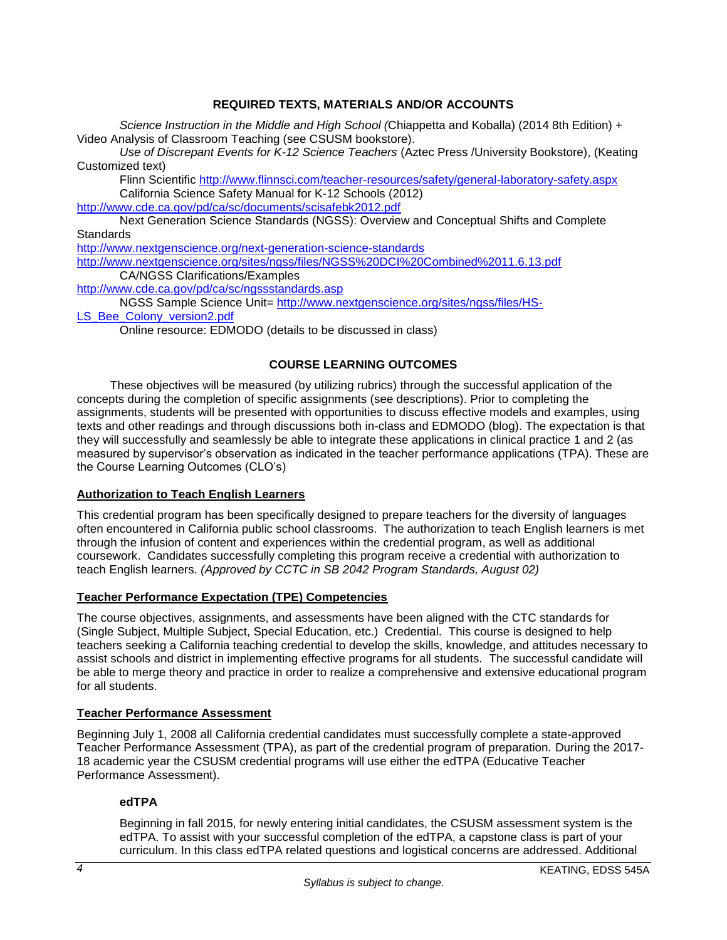# **REQUIRED TEXTS, MATERIALS AND/OR ACCOUNTS**

<span id="page-3-0"></span>*Science Instruction in the Middle and High School (*Chiappetta and Koballa) (2014 8th Edition) + Video Analysis of Classroom Teaching (see CSUSM bookstore).

*Use of Discrepant Events for K-12 Science Teachers* (Aztec Press /University Bookstore), (Keating Customized text)

Flinn Scientific<http://www.flinnsci.com/teacher-resources/safety/general-laboratory-safety.aspx> California Science Safety Manual for K-12 Schools (2012)

<http://www.cde.ca.gov/pd/ca/sc/documents/scisafebk2012.pdf>

Next Generation Science Standards (NGSS): Overview and Conceptual Shifts and Complete **Standards** 

<http://www.nextgenscience.org/next-generation-science-standards>

<http://www.nextgenscience.org/sites/ngss/files/NGSS%20DCI%20Combined%2011.6.13.pdf> CA/NGSS Clarifications/Examples

<http://www.cde.ca.gov/pd/ca/sc/ngssstandards.asp>

NGSS Sample Science Unit= [http://www.nextgenscience.org/sites/ngss/files/HS-](http://www.nextgenscience.org/sites/ngss/files/HS-LS_Bee_Colony_version2.pdf)

[LS\\_Bee\\_Colony\\_version2.pdf](http://www.nextgenscience.org/sites/ngss/files/HS-LS_Bee_Colony_version2.pdf)

Online resource: EDMODO (details to be discussed in class)

# **COURSE LEARNING OUTCOMES**

<span id="page-3-1"></span>These objectives will be measured (by utilizing rubrics) through the successful application of the concepts during the completion of specific assignments (see descriptions). Prior to completing the assignments, students will be presented with opportunities to discuss effective models and examples, using texts and other readings and through discussions both in-class and EDMODO (blog). The expectation is that they will successfully and seamlessly be able to integrate these applications in clinical practice 1 and 2 (as measured by supervisor's observation as indicated in the teacher performance applications (TPA). These are the Course Learning Outcomes (CLO's)

# <span id="page-3-2"></span>**Authorization to Teach English Learners**

This credential program has been specifically designed to prepare teachers for the diversity of languages often encountered in California public school classrooms. The authorization to teach English learners is met through the infusion of content and experiences within the credential program, as well as additional coursework. Candidates successfully completing this program receive a credential with authorization to teach English learners. *(Approved by CCTC in SB 2042 Program Standards, August 02)*

# <span id="page-3-3"></span>**Teacher Performance Expectation (TPE) Competencies**

The course objectives, assignments, and assessments have been aligned with the CTC standards for (Single Subject, Multiple Subject, Special Education, etc.) Credential. This course is designed to help teachers seeking a California teaching credential to develop the skills, knowledge, and attitudes necessary to assist schools and district in implementing effective programs for all students. The successful candidate will be able to merge theory and practice in order to realize a comprehensive and extensive educational program for all students.

# <span id="page-3-4"></span>**Teacher Performance Assessment**

Beginning July 1, 2008 all California credential candidates must successfully complete a state-approved Teacher Performance Assessment (TPA), as part of the credential program of preparation. During the 2017- 18 academic year the CSUSM credential programs will use either the edTPA (Educative Teacher Performance Assessment).

# <span id="page-3-5"></span>**edTPA**

Beginning in fall 2015, for newly entering initial candidates, the CSUSM assessment system is the edTPA. To assist with your successful completion of the edTPA, a capstone class is part of your curriculum. In this class edTPA related questions and logistical concerns are addressed. Additional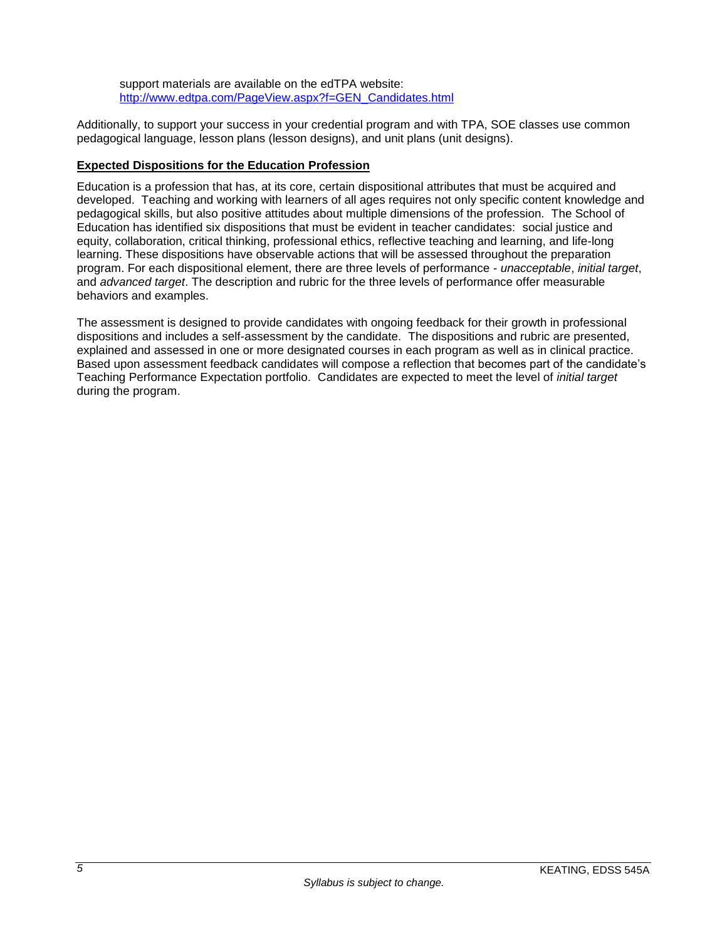support materials are available on the edTPA website: [http://www.edtpa.com/PageView.aspx?f=GEN\\_Candidates.html](http://www.edtpa.com/PageView.aspx?f=GEN_Candidates.html)

Additionally, to support your success in your credential program and with TPA, SOE classes use common pedagogical language, lesson plans (lesson designs), and unit plans (unit designs).

# <span id="page-4-0"></span>**Expected Dispositions for the Education Profession**

Education is a profession that has, at its core, certain dispositional attributes that must be acquired and developed. Teaching and working with learners of all ages requires not only specific content knowledge and pedagogical skills, but also positive attitudes about multiple dimensions of the profession. The School of Education has identified six dispositions that must be evident in teacher candidates: social justice and equity, collaboration, critical thinking, professional ethics, reflective teaching and learning, and life-long learning. These dispositions have observable actions that will be assessed throughout the preparation program. For each dispositional element, there are three levels of performance - *unacceptable*, *initial target*, and *advanced target*. The description and rubric for the three levels of performance offer measurable behaviors and examples.

The assessment is designed to provide candidates with ongoing feedback for their growth in professional dispositions and includes a self-assessment by the candidate. The dispositions and rubric are presented, explained and assessed in one or more designated courses in each program as well as in clinical practice. Based upon assessment feedback candidates will compose a reflection that becomes part of the candidate's Teaching Performance Expectation portfolio. Candidates are expected to meet the level of *initial target* during the program.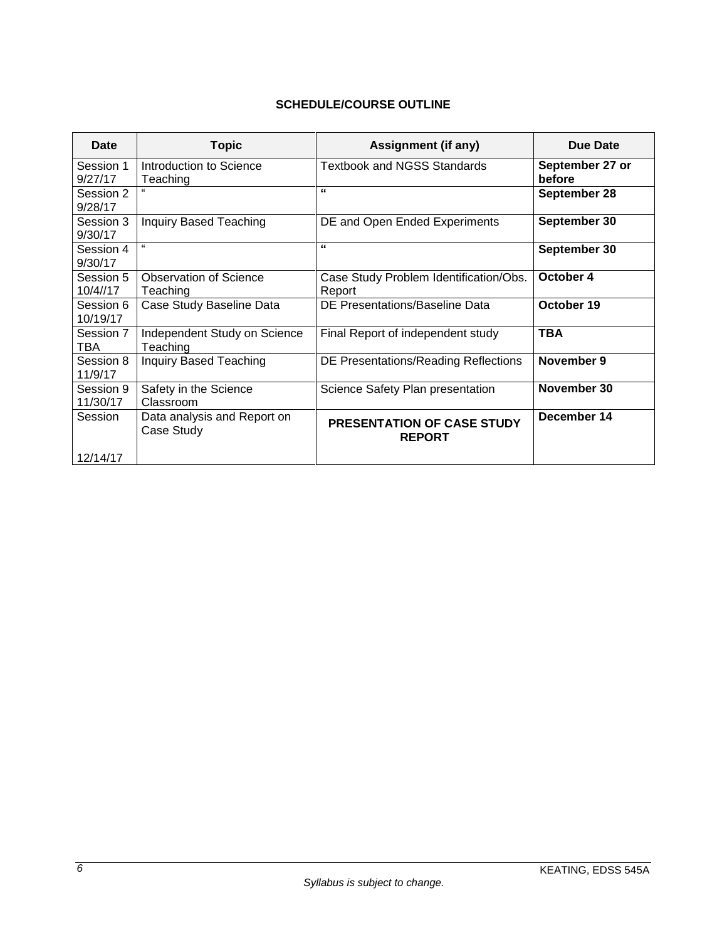# <span id="page-5-1"></span>**SCHEDULE/COURSE OUTLINE**

<span id="page-5-0"></span>

| Date                  | <b>Topic</b>                              | <b>Assignment (if any)</b>                         | Due Date                  |
|-----------------------|-------------------------------------------|----------------------------------------------------|---------------------------|
| Session 1<br>9/27/17  | Introduction to Science<br>Teaching       | <b>Textbook and NGSS Standards</b>                 | September 27 or<br>before |
| Session 2<br>9/28/17  |                                           | "                                                  | September 28              |
| Session 3<br>9/30/17  | Inquiry Based Teaching                    | DE and Open Ended Experiments                      | September 30              |
| Session 4<br>9/30/17  | $\epsilon$                                | "                                                  | September 30              |
| Session 5<br>10/4//17 | Observation of Science<br>Teaching        | Case Study Problem Identification/Obs.<br>Report   | October 4                 |
| Session 6<br>10/19/17 | Case Study Baseline Data                  | DE Presentations/Baseline Data                     | October 19                |
| Session 7<br>TBA      | Independent Study on Science<br>Teaching  | Final Report of independent study                  | <b>TBA</b>                |
| Session 8<br>11/9/17  | <b>Inquiry Based Teaching</b>             | DE Presentations/Reading Reflections               | November 9                |
| Session 9<br>11/30/17 | Safety in the Science<br>Classroom        | Science Safety Plan presentation                   | November 30               |
| Session               | Data analysis and Report on<br>Case Study | <b>PRESENTATION OF CASE STUDY</b><br><b>REPORT</b> | December 14               |
| 12/14/17              |                                           |                                                    |                           |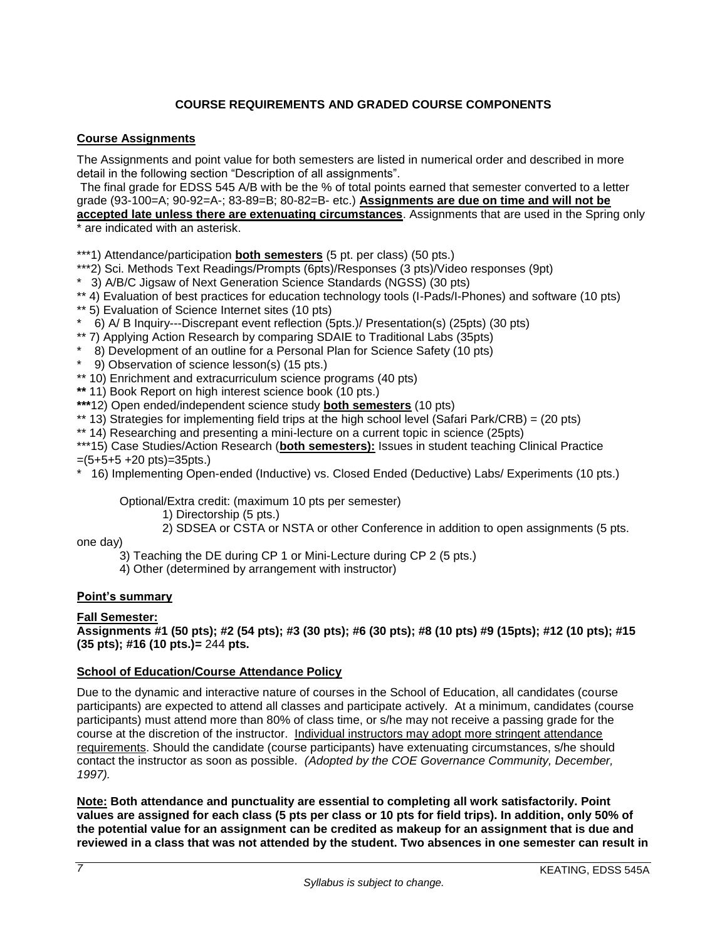# **COURSE REQUIREMENTS AND GRADED COURSE COMPONENTS**

# <span id="page-6-1"></span><span id="page-6-0"></span>**Course Assignments**

The Assignments and point value for both semesters are listed in numerical order and described in more detail in the following section "Description of all assignments".

The final grade for EDSS 545 A/B with be the % of total points earned that semester converted to a letter grade (93-100=A; 90-92=A-; 83-89=B; 80-82=B- etc.) **Assignments are due on time and will not be** 

**accepted late unless there are extenuating circumstances**. Assignments that are used in the Spring only \* are indicated with an asterisk.

\*\*\*1) Attendance/participation **both semesters** (5 pt. per class) (50 pts.)

- \*\*\*2) Sci. Methods Text Readings/Prompts (6pts)/Responses (3 pts)/Video responses (9pt)
- \* 3) A/B/C Jigsaw of Next Generation Science Standards (NGSS) (30 pts)
- \*\* 4) Evaluation of best practices for education technology tools (I-Pads/I-Phones) and software (10 pts)
- \*\* 5) Evaluation of Science Internet sites (10 pts)
- \* 6) A/ B Inquiry---Discrepant event reflection (5pts.)/ Presentation(s) (25pts) (30 pts)
- \*\* 7) Applying Action Research by comparing SDAIE to Traditional Labs (35pts)
- \* 8) Development of an outline for a Personal Plan for Science Safety (10 pts)
- \* 9) Observation of science lesson(s) (15 pts.)
- \*\* 10) Enrichment and extracurriculum science programs (40 pts)
- **\*\*** 11) Book Report on high interest science book (10 pts.)
- **\*\*\***12) Open ended/independent science study **both semesters** (10 pts)
- \*\* 13) Strategies for implementing field trips at the high school level (Safari Park/CRB) = (20 pts)
- \*\* 14) Researching and presenting a mini-lecture on a current topic in science (25pts)

\*\*\*15) Case Studies/Action Research (**both semesters):** Issues in student teaching Clinical Practice  $=(5+5+5+20 \text{ pts})$ =35pts.)

\* 16) Implementing Open-ended (Inductive) vs. Closed Ended (Deductive) Labs/ Experiments (10 pts.)

Optional/Extra credit: (maximum 10 pts per semester)

- 1) Directorship (5 pts.)
- 2) SDSEA or CSTA or NSTA or other Conference in addition to open assignments (5 pts.

one day)

- 3) Teaching the DE during CP 1 or Mini-Lecture during CP 2 (5 pts.)
- 4) Other (determined by arrangement with instructor)

# <span id="page-6-2"></span>**Point's summary**

# **Fall Semester:**

**Assignments #1 (50 pts); #2 (54 pts); #3 (30 pts); #6 (30 pts); #8 (10 pts) #9 (15pts); #12 (10 pts); #15 (35 pts); #16 (10 pts.)=** 244 **pts.**

# <span id="page-6-3"></span>**School of Education/Course Attendance Policy**

Due to the dynamic and interactive nature of courses in the School of Education, all candidates (course participants) are expected to attend all classes and participate actively. At a minimum, candidates (course participants) must attend more than 80% of class time, or s/he may not receive a passing grade for the course at the discretion of the instructor. Individual instructors may adopt more stringent attendance requirements. Should the candidate (course participants) have extenuating circumstances, s/he should contact the instructor as soon as possible. *(Adopted by the COE Governance Community, December, 1997).*

**Note: Both attendance and punctuality are essential to completing all work satisfactorily. Point values are assigned for each class (5 pts per class or 10 pts for field trips). In addition, only 50% of the potential value for an assignment can be credited as makeup for an assignment that is due and reviewed in a class that was not attended by the student. Two absences in one semester can result in**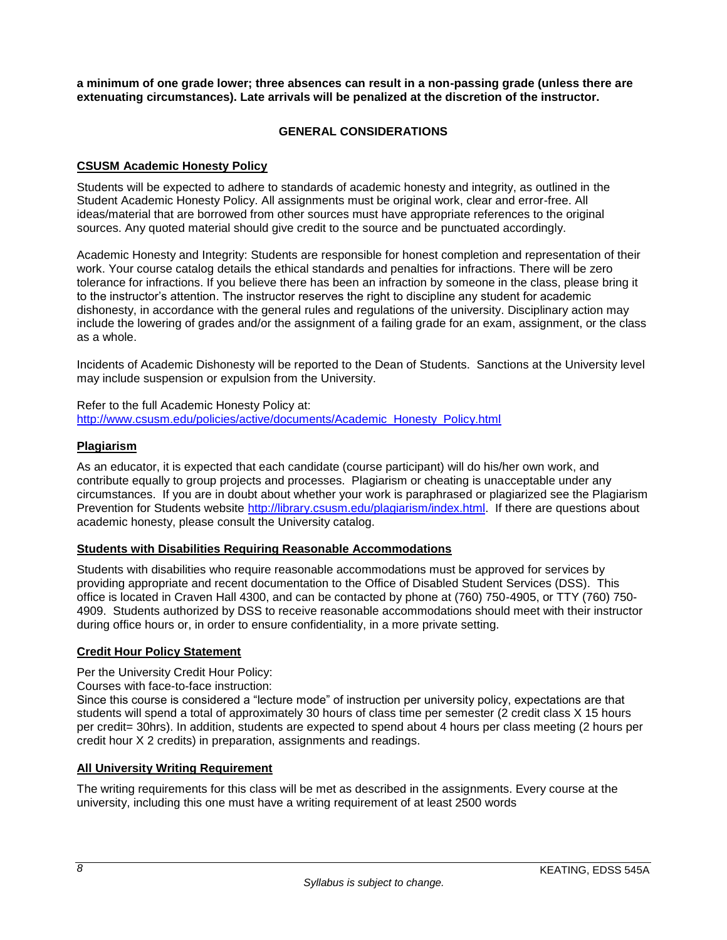<span id="page-7-0"></span>**a minimum of one grade lower; three absences can result in a non-passing grade (unless there are extenuating circumstances). Late arrivals will be penalized at the discretion of the instructor.** 

# **GENERAL CONSIDERATIONS**

# <span id="page-7-1"></span>**CSUSM Academic Honesty Policy**

Students will be expected to adhere to standards of academic honesty and integrity, as outlined in the Student Academic Honesty Policy. All assignments must be original work, clear and error-free. All ideas/material that are borrowed from other sources must have appropriate references to the original sources. Any quoted material should give credit to the source and be punctuated accordingly.

Academic Honesty and Integrity: Students are responsible for honest completion and representation of their work. Your course catalog details the ethical standards and penalties for infractions. There will be zero tolerance for infractions. If you believe there has been an infraction by someone in the class, please bring it to the instructor's attention. The instructor reserves the right to discipline any student for academic dishonesty, in accordance with the general rules and regulations of the university. Disciplinary action may include the lowering of grades and/or the assignment of a failing grade for an exam, assignment, or the class as a whole.

Incidents of Academic Dishonesty will be reported to the Dean of Students. Sanctions at the University level may include suspension or expulsion from the University.

Refer to the full Academic Honesty Policy at: [http://www.csusm.edu/policies/active/documents/Academic\\_Honesty\\_Policy.html](http://www.csusm.edu/policies/active/documents/Academic_Honesty_Policy.html)

# <span id="page-7-2"></span>**Plagiarism**

As an educator, it is expected that each candidate (course participant) will do his/her own work, and contribute equally to group projects and processes. Plagiarism or cheating is unacceptable under any circumstances. If you are in doubt about whether your work is paraphrased or plagiarized see the Plagiarism Prevention for Students website [http://library.csusm.edu/plagiarism/index.html.](http://library.csusm.edu/plagiarism/index.html) If there are questions about academic honesty, please consult the University catalog.

# <span id="page-7-3"></span>**Students with Disabilities Requiring Reasonable Accommodations**

Students with disabilities who require reasonable accommodations must be approved for services by providing appropriate and recent documentation to the Office of Disabled Student Services (DSS). This office is located in Craven Hall 4300, and can be contacted by phone at (760) 750-4905, or TTY (760) 750- 4909. Students authorized by DSS to receive reasonable accommodations should meet with their instructor during office hours or, in order to ensure confidentiality, in a more private setting.

# <span id="page-7-4"></span>**Credit Hour Policy Statement**

Per the University Credit Hour Policy:

Courses with face-to-face instruction:

Since this course is considered a "lecture mode" of instruction per university policy, expectations are that students will spend a total of approximately 30 hours of class time per semester (2 credit class X 15 hours per credit= 30hrs). In addition, students are expected to spend about 4 hours per class meeting (2 hours per credit hour X 2 credits) in preparation, assignments and readings.

# <span id="page-7-5"></span>**All University Writing Requirement**

The writing requirements for this class will be met as described in the assignments. Every course at the university, including this one must have a writing requirement of at least 2500 words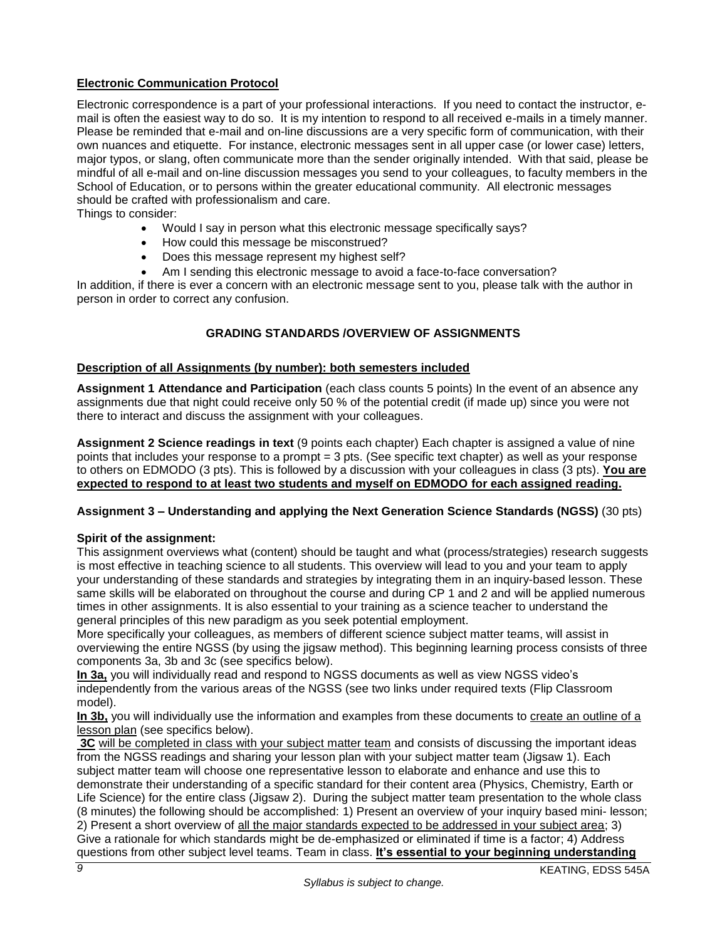# <span id="page-8-0"></span>**Electronic Communication Protocol**

Electronic correspondence is a part of your professional interactions. If you need to contact the instructor, email is often the easiest way to do so. It is my intention to respond to all received e-mails in a timely manner. Please be reminded that e-mail and on-line discussions are a very specific form of communication, with their own nuances and etiquette. For instance, electronic messages sent in all upper case (or lower case) letters, major typos, or slang, often communicate more than the sender originally intended. With that said, please be mindful of all e-mail and on-line discussion messages you send to your colleagues, to faculty members in the School of Education, or to persons within the greater educational community. All electronic messages should be crafted with professionalism and care.

Things to consider:

- Would I say in person what this electronic message specifically says?
- How could this message be misconstrued?
- Does this message represent my highest self?
- Am I sending this electronic message to avoid a face-to-face conversation?

<span id="page-8-1"></span>In addition, if there is ever a concern with an electronic message sent to you, please talk with the author in person in order to correct any confusion.

# **GRADING STANDARDS /OVERVIEW OF ASSIGNMENTS**

#### <span id="page-8-2"></span>**Description of all Assignments (by number): both semesters included**

**Assignment 1 Attendance and Participation** (each class counts 5 points) In the event of an absence any assignments due that night could receive only 50 % of the potential credit (if made up) since you were not there to interact and discuss the assignment with your colleagues.

**Assignment 2 Science readings in text** (9 points each chapter) Each chapter is assigned a value of nine points that includes your response to a prompt = 3 pts. (See specific text chapter) as well as your response to others on EDMODO (3 pts). This is followed by a discussion with your colleagues in class (3 pts). **You are expected to respond to at least two students and myself on EDMODO for each assigned reading.**

#### **Assignment 3 – Understanding and applying the Next Generation Science Standards (NGSS)** (30 pts)

#### **Spirit of the assignment:**

This assignment overviews what (content) should be taught and what (process/strategies) research suggests is most effective in teaching science to all students. This overview will lead to you and your team to apply your understanding of these standards and strategies by integrating them in an inquiry-based lesson. These same skills will be elaborated on throughout the course and during CP 1 and 2 and will be applied numerous times in other assignments. It is also essential to your training as a science teacher to understand the general principles of this new paradigm as you seek potential employment.

More specifically your colleagues, as members of different science subject matter teams, will assist in overviewing the entire NGSS (by using the jigsaw method). This beginning learning process consists of three components 3a, 3b and 3c (see specifics below).

**In 3a,** you will individually read and respond to NGSS documents as well as view NGSS video's independently from the various areas of the NGSS (see two links under required texts (Flip Classroom model).

**In 3b,** you will individually use the information and examples from these documents to create an outline of a lesson plan (see specifics below).

**3C** will be completed in class with your subject matter team and consists of discussing the important ideas from the NGSS readings and sharing your lesson plan with your subject matter team (Jigsaw 1). Each subject matter team will choose one representative lesson to elaborate and enhance and use this to demonstrate their understanding of a specific standard for their content area (Physics, Chemistry, Earth or Life Science) for the entire class (Jigsaw 2). During the subject matter team presentation to the whole class (8 minutes) the following should be accomplished: 1) Present an overview of your inquiry based mini- lesson; 2) Present a short overview of all the major standards expected to be addressed in your subject area; 3) Give a rationale for which standards might be de-emphasized or eliminated if time is a factor; 4) Address questions from other subject level teams. Team in class. **It's essential to your beginning understanding**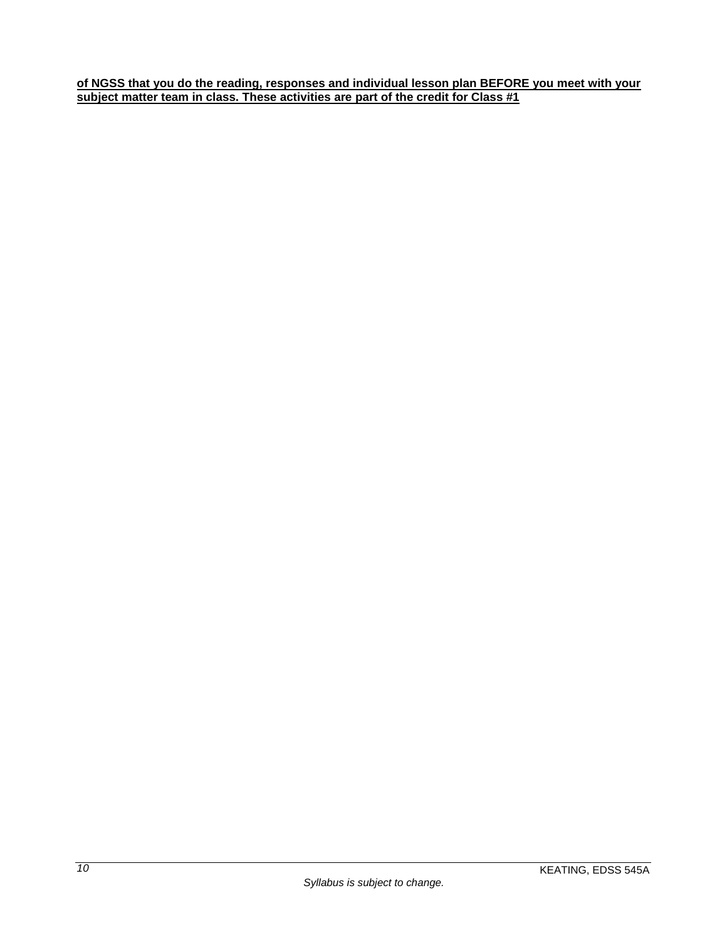**of NGSS that you do the reading, responses and individual lesson plan BEFORE you meet with your subject matter team in class. These activities are part of the credit for Class #1**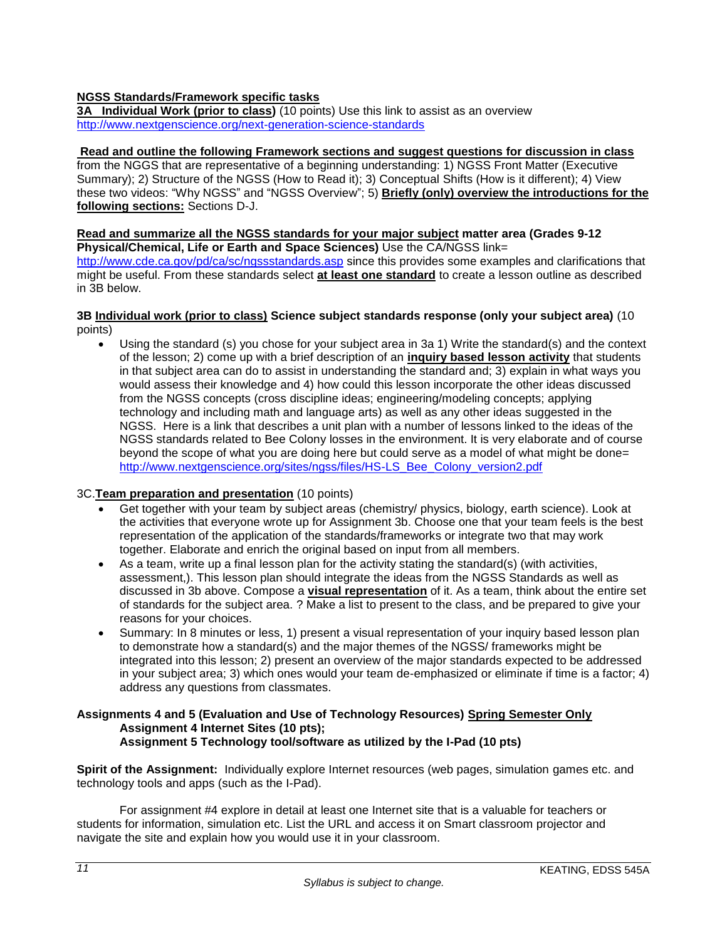# **NGSS Standards/Framework specific tasks**

**3A Individual Work (prior to class)** (10 points) Use this link to assist as an overview <http://www.nextgenscience.org/next-generation-science-standards>

#### **Read and outline the following Framework sections and suggest questions for discussion in class**

from the NGGS that are representative of a beginning understanding: 1) NGSS Front Matter (Executive Summary); 2) Structure of the NGSS (How to Read it); 3) Conceptual Shifts (How is it different); 4) View these two videos: "Why NGSS" and "NGSS Overview"; 5) **Briefly (only) overview the introductions for the following sections:** Sections D-J.

# **Read and summarize all the NGSS standards for your major subject matter area (Grades 9-12**

**Physical/Chemical, Life or Earth and Space Sciences)** Use the CA/NGSS link= <http://www.cde.ca.gov/pd/ca/sc/ngssstandards.asp> since this provides some examples and clarifications that might be useful. From these standards select **at least one standard** to create a lesson outline as described in 3B below.

#### **3B Individual work (prior to class) Science subject standards response (only your subject area)** (10 points)

 Using the standard (s) you chose for your subject area in 3a 1) Write the standard(s) and the context of the lesson; 2) come up with a brief description of an **inquiry based lesson activity** that students in that subject area can do to assist in understanding the standard and; 3) explain in what ways you would assess their knowledge and 4) how could this lesson incorporate the other ideas discussed from the NGSS concepts (cross discipline ideas; engineering/modeling concepts; applying technology and including math and language arts) as well as any other ideas suggested in the NGSS. Here is a link that describes a unit plan with a number of lessons linked to the ideas of the NGSS standards related to Bee Colony losses in the environment. It is very elaborate and of course beyond the scope of what you are doing here but could serve as a model of what might be done= [http://www.nextgenscience.org/sites/ngss/files/HS-LS\\_Bee\\_Colony\\_version2.pdf](http://www.nextgenscience.org/sites/ngss/files/HS-LS_Bee_Colony_version2.pdf)

# 3C.**Team preparation and presentation** (10 points)

- Get together with your team by subject areas (chemistry/ physics, biology, earth science). Look at the activities that everyone wrote up for Assignment 3b. Choose one that your team feels is the best representation of the application of the standards/frameworks or integrate two that may work together. Elaborate and enrich the original based on input from all members.
- As a team, write up a final lesson plan for the activity stating the standard(s) (with activities, assessment,). This lesson plan should integrate the ideas from the NGSS Standards as well as discussed in 3b above. Compose a **visual representation** of it. As a team, think about the entire set of standards for the subject area. ? Make a list to present to the class, and be prepared to give your reasons for your choices.
- Summary: In 8 minutes or less, 1) present a visual representation of your inquiry based lesson plan to demonstrate how a standard(s) and the major themes of the NGSS/ frameworks might be integrated into this lesson; 2) present an overview of the major standards expected to be addressed in your subject area; 3) which ones would your team de-emphasized or eliminate if time is a factor; 4) address any questions from classmates.

#### **Assignments 4 and 5 (Evaluation and Use of Technology Resources) Spring Semester Only Assignment 4 Internet Sites (10 pts); Assignment 5 Technology tool/software as utilized by the I-Pad (10 pts)**

**Spirit of the Assignment:** Individually explore Internet resources (web pages, simulation games etc. and technology tools and apps (such as the I-Pad).

For assignment #4 explore in detail at least one Internet site that is a valuable for teachers or students for information, simulation etc. List the URL and access it on Smart classroom projector and navigate the site and explain how you would use it in your classroom.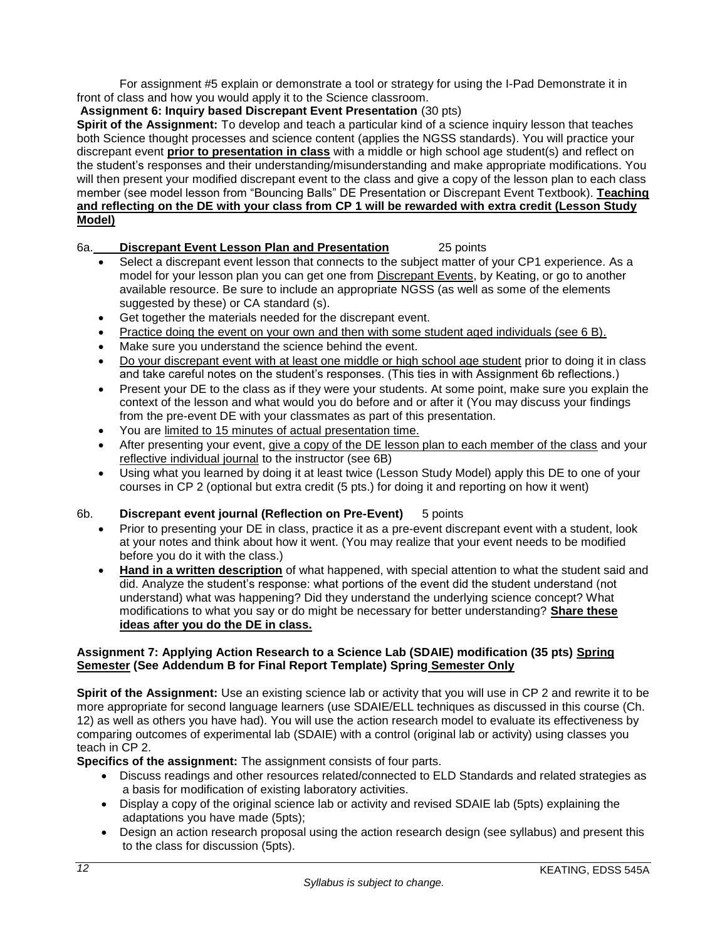For assignment #5 explain or demonstrate a tool or strategy for using the I-Pad Demonstrate it in front of class and how you would apply it to the Science classroom.

# **Assignment 6: Inquiry based Discrepant Event Presentation** (30 pts)

**Spirit of the Assignment:** To develop and teach a particular kind of a science inquiry lesson that teaches both Science thought processes and science content (applies the NGSS standards). You will practice your discrepant event **prior to presentation in class** with a middle or high school age student(s) and reflect on the student's responses and their understanding/misunderstanding and make appropriate modifications. You will then present your modified discrepant event to the class and give a copy of the lesson plan to each class member (see model lesson from "Bouncing Balls" DE Presentation or Discrepant Event Textbook). **Teaching and reflecting on the DE with your class from CP 1 will be rewarded with extra credit (Lesson Study Model)**

# 6a. **Discrepant Event Lesson Plan and Presentation** 25 points

- Select a discrepant event lesson that connects to the subject matter of your CP1 experience. As a model for your lesson plan you can get one from Discrepant Events, by Keating, or go to another available resource. Be sure to include an appropriate NGSS (as well as some of the elements suggested by these) or CA standard (s).
- Get together the materials needed for the discrepant event.
- Practice doing the event on your own and then with some student aged individuals (see 6 B).
- Make sure you understand the science behind the event.
- Do your discrepant event with at least one middle or high school age student prior to doing it in class and take careful notes on the student's responses. (This ties in with Assignment 6b reflections.)
- Present your DE to the class as if they were your students. At some point, make sure you explain the context of the lesson and what would you do before and or after it (You may discuss your findings from the pre-event DE with your classmates as part of this presentation.
- You are limited to 15 minutes of actual presentation time.
- After presenting your event, give a copy of the DE lesson plan to each member of the class and your reflective individual journal to the instructor (see 6B)
- Using what you learned by doing it at least twice (Lesson Study Model) apply this DE to one of your courses in CP 2 (optional but extra credit (5 pts.) for doing it and reporting on how it went)

# 6b. **Discrepant event journal (Reflection on Pre-Event)** 5 points

- Prior to presenting your DE in class, practice it as a pre-event discrepant event with a student, look at your notes and think about how it went. (You may realize that your event needs to be modified before you do it with the class.)
- **Hand in a written description** of what happened, with special attention to what the student said and did. Analyze the student's response: what portions of the event did the student understand (not understand) what was happening? Did they understand the underlying science concept? What modifications to what you say or do might be necessary for better understanding? **Share these ideas after you do the DE in class.**

# **Assignment 7: Applying Action Research to a Science Lab (SDAIE) modification (35 pts) Spring Semester (See Addendum B for Final Report Template) Spring Semester Only**

**Spirit of the Assignment:** Use an existing science lab or activity that you will use in CP 2 and rewrite it to be more appropriate for second language learners (use SDAIE/ELL techniques as discussed in this course (Ch. 12) as well as others you have had). You will use the action research model to evaluate its effectiveness by comparing outcomes of experimental lab (SDAIE) with a control (original lab or activity) using classes you teach in CP 2.

**Specifics of the assignment:** The assignment consists of four parts.

- Discuss readings and other resources related/connected to ELD Standards and related strategies as a basis for modification of existing laboratory activities.
- Display a copy of the original science lab or activity and revised SDAIE lab (5pts) explaining the adaptations you have made (5pts);
- Design an action research proposal using the action research design (see syllabus) and present this to the class for discussion (5pts).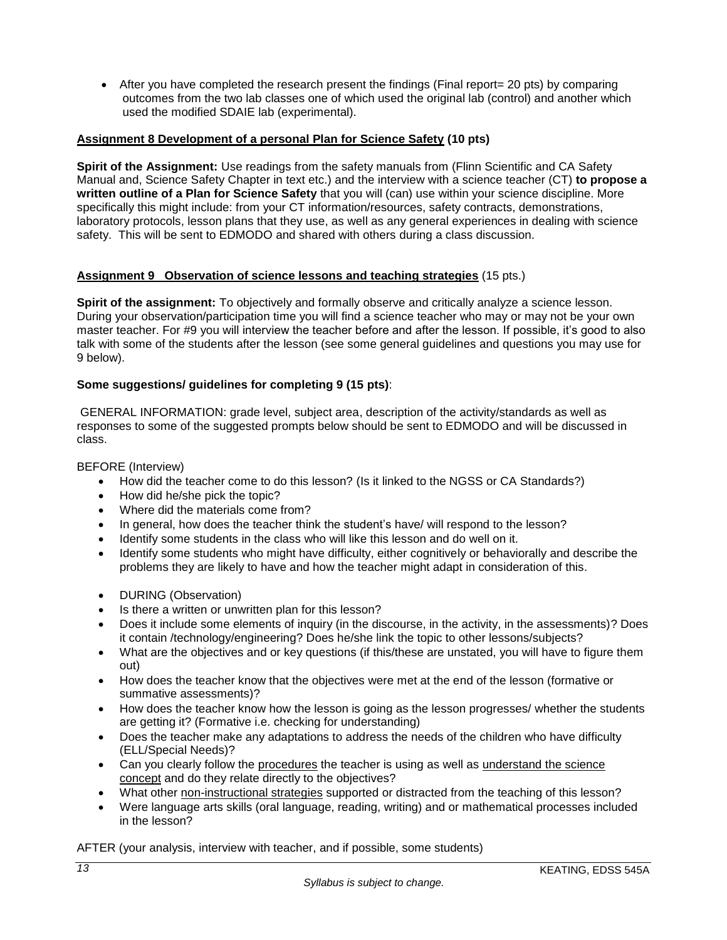• After you have completed the research present the findings (Final report= 20 pts) by comparing outcomes from the two lab classes one of which used the original lab (control) and another which used the modified SDAIE lab (experimental).

# **Assignment 8 Development of a personal Plan for Science Safety (10 pts)**

**Spirit of the Assignment:** Use readings from the safety manuals from (Flinn Scientific and CA Safety Manual and, Science Safety Chapter in text etc.) and the interview with a science teacher (CT) **to propose a written outline of a Plan for Science Safety** that you will (can) use within your science discipline. More specifically this might include: from your CT information/resources, safety contracts, demonstrations, laboratory protocols, lesson plans that they use, as well as any general experiences in dealing with science safety. This will be sent to EDMODO and shared with others during a class discussion.

# **Assignment 9 Observation of science lessons and teaching strategies** (15 pts.)

**Spirit of the assignment:** To objectively and formally observe and critically analyze a science lesson. During your observation/participation time you will find a science teacher who may or may not be your own master teacher. For #9 you will interview the teacher before and after the lesson. If possible, it's good to also talk with some of the students after the lesson (see some general guidelines and questions you may use for 9 below).

# **Some suggestions/ guidelines for completing 9 (15 pts)**:

GENERAL INFORMATION: grade level, subject area, description of the activity/standards as well as responses to some of the suggested prompts below should be sent to EDMODO and will be discussed in class.

### BEFORE (Interview)

- How did the teacher come to do this lesson? (Is it linked to the NGSS or CA Standards?)
- How did he/she pick the topic?
- Where did the materials come from?
- In general, how does the teacher think the student's have/ will respond to the lesson?
- Identify some students in the class who will like this lesson and do well on it.
- Identify some students who might have difficulty, either cognitively or behaviorally and describe the problems they are likely to have and how the teacher might adapt in consideration of this.
- **DURING (Observation)**
- Is there a written or unwritten plan for this lesson?
- Does it include some elements of inquiry (in the discourse, in the activity, in the assessments)? Does it contain /technology/engineering? Does he/she link the topic to other lessons/subjects?
- What are the objectives and or key questions (if this/these are unstated, you will have to figure them out)
- How does the teacher know that the objectives were met at the end of the lesson (formative or summative assessments)?
- How does the teacher know how the lesson is going as the lesson progresses/ whether the students are getting it? (Formative i.e. checking for understanding)
- Does the teacher make any adaptations to address the needs of the children who have difficulty (ELL/Special Needs)?
- Can you clearly follow the procedures the teacher is using as well as understand the science concept and do they relate directly to the objectives?
- What other non-instructional strategies supported or distracted from the teaching of this lesson?
- Were language arts skills (oral language, reading, writing) and or mathematical processes included in the lesson?

AFTER (your analysis, interview with teacher, and if possible, some students)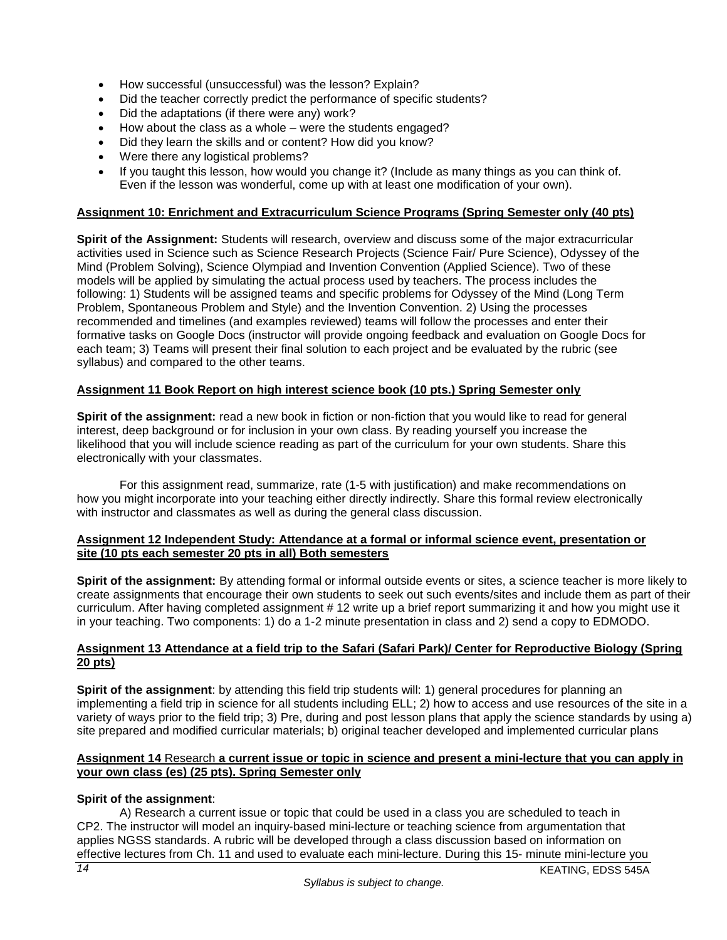- How successful (unsuccessful) was the lesson? Explain?
- Did the teacher correctly predict the performance of specific students?
- Did the adaptations (if there were any) work?
- How about the class as a whole were the students engaged?
- Did they learn the skills and or content? How did you know?
- Were there any logistical problems?
- If you taught this lesson, how would you change it? (Include as many things as you can think of. Even if the lesson was wonderful, come up with at least one modification of your own).

# **Assignment 10: Enrichment and Extracurriculum Science Programs (Spring Semester only (40 pts)**

**Spirit of the Assignment:** Students will research, overview and discuss some of the major extracurricular activities used in Science such as Science Research Projects (Science Fair/ Pure Science), Odyssey of the Mind (Problem Solving), Science Olympiad and Invention Convention (Applied Science). Two of these models will be applied by simulating the actual process used by teachers. The process includes the following: 1) Students will be assigned teams and specific problems for Odyssey of the Mind (Long Term Problem, Spontaneous Problem and Style) and the Invention Convention. 2) Using the processes recommended and timelines (and examples reviewed) teams will follow the processes and enter their formative tasks on Google Docs (instructor will provide ongoing feedback and evaluation on Google Docs for each team; 3) Teams will present their final solution to each project and be evaluated by the rubric (see syllabus) and compared to the other teams.

# **Assignment 11 Book Report on high interest science book (10 pts.) Spring Semester only**

**Spirit of the assignment:** read a new book in fiction or non-fiction that you would like to read for general interest, deep background or for inclusion in your own class. By reading yourself you increase the likelihood that you will include science reading as part of the curriculum for your own students. Share this electronically with your classmates.

For this assignment read, summarize, rate (1-5 with justification) and make recommendations on how you might incorporate into your teaching either directly indirectly. Share this formal review electronically with instructor and classmates as well as during the general class discussion.

#### **Assignment 12 Independent Study: Attendance at a formal or informal science event, presentation or site (10 pts each semester 20 pts in all) Both semesters**

**Spirit of the assignment:** By attending formal or informal outside events or sites, a science teacher is more likely to create assignments that encourage their own students to seek out such events/sites and include them as part of their curriculum. After having completed assignment # 12 write up a brief report summarizing it and how you might use it in your teaching. Two components: 1) do a 1-2 minute presentation in class and 2) send a copy to EDMODO.

# **Assignment 13 Attendance at a field trip to the Safari (Safari Park)/ Center for Reproductive Biology (Spring 20 pts)**

**Spirit of the assignment**: by attending this field trip students will: 1) general procedures for planning an implementing a field trip in science for all students including ELL; 2) how to access and use resources of the site in a variety of ways prior to the field trip; 3) Pre, during and post lesson plans that apply the science standards by using a) site prepared and modified curricular materials; b) original teacher developed and implemented curricular plans

# **Assignment 14** Research **a current issue or topic in science and present a mini-lecture that you can apply in your own class (es) (25 pts). Spring Semester only**

# **Spirit of the assignment**:

A) Research a current issue or topic that could be used in a class you are scheduled to teach in CP2. The instructor will model an inquiry-based mini-lecture or teaching science from argumentation that applies NGSS standards. A rubric will be developed through a class discussion based on information on effective lectures from Ch. 11 and used to evaluate each mini-lecture. During this 15- minute mini-lecture you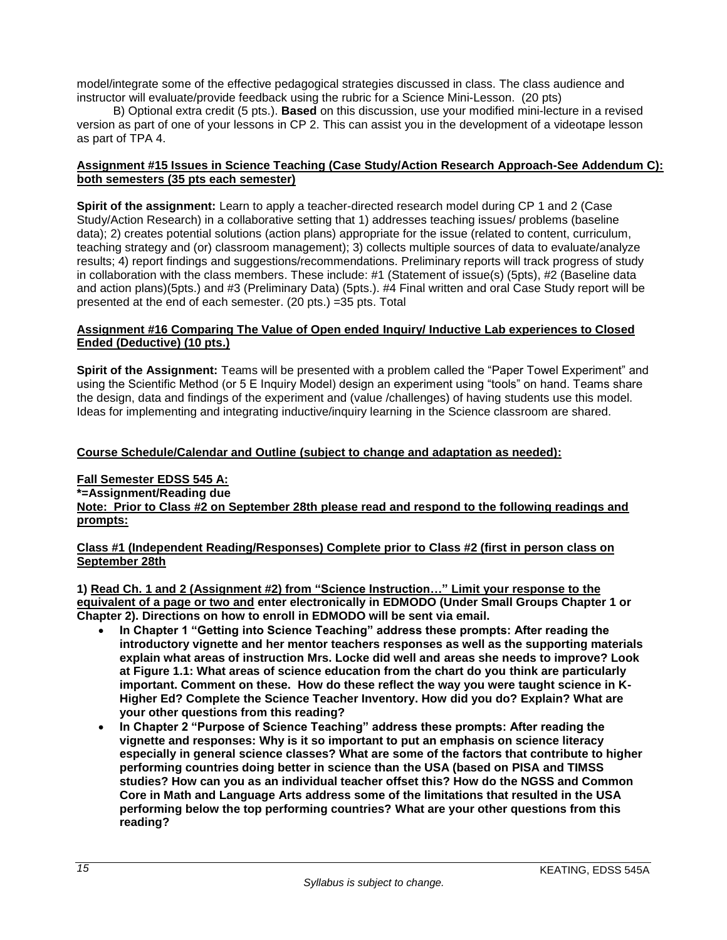model/integrate some of the effective pedagogical strategies discussed in class. The class audience and instructor will evaluate/provide feedback using the rubric for a Science Mini-Lesson. (20 pts)

 B) Optional extra credit (5 pts.). **Based** on this discussion, use your modified mini-lecture in a revised version as part of one of your lessons in CP 2. This can assist you in the development of a videotape lesson as part of TPA 4.

### **Assignment #15 Issues in Science Teaching (Case Study/Action Research Approach-See Addendum C): both semesters (35 pts each semester)**

**Spirit of the assignment:** Learn to apply a teacher-directed research model during CP 1 and 2 (Case Study/Action Research) in a collaborative setting that 1) addresses teaching issues/ problems (baseline data); 2) creates potential solutions (action plans) appropriate for the issue (related to content, curriculum, teaching strategy and (or) classroom management); 3) collects multiple sources of data to evaluate/analyze results; 4) report findings and suggestions/recommendations. Preliminary reports will track progress of study in collaboration with the class members. These include: #1 (Statement of issue(s) (5pts), #2 (Baseline data and action plans)(5pts.) and #3 (Preliminary Data) (5pts.). #4 Final written and oral Case Study report will be presented at the end of each semester. (20 pts.) =35 pts. Total

#### **Assignment #16 Comparing The Value of Open ended Inquiry/ Inductive Lab experiences to Closed Ended (Deductive) (10 pts.)**

**Spirit of the Assignment:** Teams will be presented with a problem called the "Paper Towel Experiment" and using the Scientific Method (or 5 E Inquiry Model) design an experiment using "tools" on hand. Teams share the design, data and findings of the experiment and (value /challenges) of having students use this model. Ideas for implementing and integrating inductive/inquiry learning in the Science classroom are shared.

# **Course Schedule/Calendar and Outline (subject to change and adaptation as needed):**

#### **Fall Semester EDSS 545 A: \*=Assignment/Reading due Note: Prior to Class #2 on September 28th please read and respond to the following readings and prompts:**

#### **Class #1 (Independent Reading/Responses) Complete prior to Class #2 (first in person class on September 28th**

**1) Read Ch. 1 and 2 (Assignment #2) from "Science Instruction…" Limit your response to the equivalent of a page or two and enter electronically in EDMODO (Under Small Groups Chapter 1 or Chapter 2). Directions on how to enroll in EDMODO will be sent via email.**

- **In Chapter 1 "Getting into Science Teaching" address these prompts: After reading the introductory vignette and her mentor teachers responses as well as the supporting materials explain what areas of instruction Mrs. Locke did well and areas she needs to improve? Look at Figure 1.1: What areas of science education from the chart do you think are particularly important. Comment on these. How do these reflect the way you were taught science in K-Higher Ed? Complete the Science Teacher Inventory. How did you do? Explain? What are your other questions from this reading?**
- **In Chapter 2 "Purpose of Science Teaching" address these prompts: After reading the vignette and responses: Why is it so important to put an emphasis on science literacy especially in general science classes? What are some of the factors that contribute to higher performing countries doing better in science than the USA (based on PISA and TIMSS studies? How can you as an individual teacher offset this? How do the NGSS and Common Core in Math and Language Arts address some of the limitations that resulted in the USA performing below the top performing countries? What are your other questions from this reading?**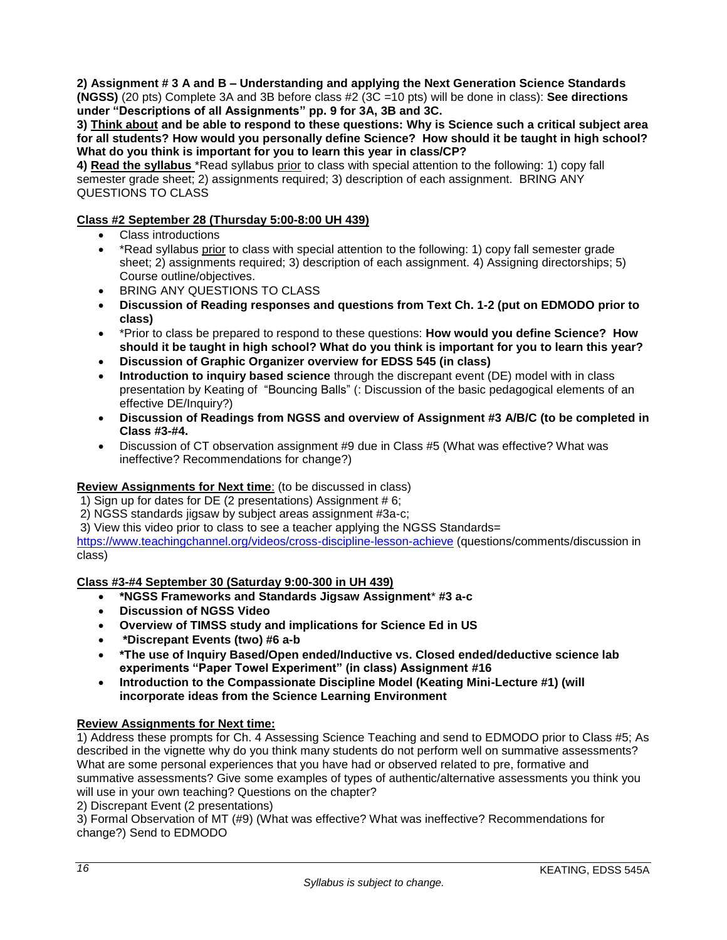**2) Assignment # 3 A and B – Understanding and applying the Next Generation Science Standards (NGSS)** (20 pts) Complete 3A and 3B before class #2 (3C =10 pts) will be done in class): **See directions under "Descriptions of all Assignments" pp. 9 for 3A, 3B and 3C.**

**3) Think about and be able to respond to these questions: Why is Science such a critical subject area for all students? How would you personally define Science? How should it be taught in high school? What do you think is important for you to learn this year in class/CP?**

**4) Read the syllabus** \*Read syllabus prior to class with special attention to the following: 1) copy fall semester grade sheet; 2) assignments required; 3) description of each assignment. BRING ANY QUESTIONS TO CLASS

# **Class #2 September 28 (Thursday 5:00-8:00 UH 439)**

- Class introductions
- \* Read syllabus prior to class with special attention to the following: 1) copy fall semester grade sheet; 2) assignments required; 3) description of each assignment. 4) Assigning directorships; 5) Course outline/objectives.
- BRING ANY QUESTIONS TO CLASS
- **Discussion of Reading responses and questions from Text Ch. 1-2 (put on EDMODO prior to class)**
- \*Prior to class be prepared to respond to these questions: **How would you define Science? How should it be taught in high school? What do you think is important for you to learn this year?**
- **Discussion of Graphic Organizer overview for EDSS 545 (in class)**
- **Introduction to inquiry based science** through the discrepant event (DE) model with in class presentation by Keating of "Bouncing Balls" (: Discussion of the basic pedagogical elements of an effective DE/Inquiry?)
- **Discussion of Readings from NGSS and overview of Assignment #3 A/B/C (to be completed in Class #3-#4.**
- Discussion of CT observation assignment #9 due in Class #5 (What was effective? What was ineffective? Recommendations for change?)

# **Review Assignments for Next time**: (to be discussed in class)

1) Sign up for dates for DE (2 presentations) Assignment # 6;

2) NGSS standards jigsaw by subject areas assignment #3a-c;

3) View this video prior to class to see a teacher applying the NGSS Standards=

https://www.teachingchannel.org/videos/cross-discipline-lesson-achieve (questions/comments/discussion in class)

# **Class #3-#4 September 30 (Saturday 9:00-300 in UH 439)**

- **\*NGSS Frameworks and Standards Jigsaw Assignment**\* **#3 a-c**
- **Discussion of NGSS Video**
- **Overview of TIMSS study and implications for Science Ed in US**
- **\*Discrepant Events (two) #6 a-b**
- **\*The use of Inquiry Based/Open ended/Inductive vs. Closed ended/deductive science lab experiments "Paper Towel Experiment" (in class) Assignment #16**
- **Introduction to the Compassionate Discipline Model (Keating Mini-Lecture #1) (will incorporate ideas from the Science Learning Environment**

# **Review Assignments for Next time:**

1) Address these prompts for Ch. 4 Assessing Science Teaching and send to EDMODO prior to Class #5; As described in the vignette why do you think many students do not perform well on summative assessments? What are some personal experiences that you have had or observed related to pre, formative and summative assessments? Give some examples of types of authentic/alternative assessments you think you will use in your own teaching? Questions on the chapter?

2) Discrepant Event (2 presentations)

3) Formal Observation of MT (#9) (What was effective? What was ineffective? Recommendations for change?) Send to EDMODO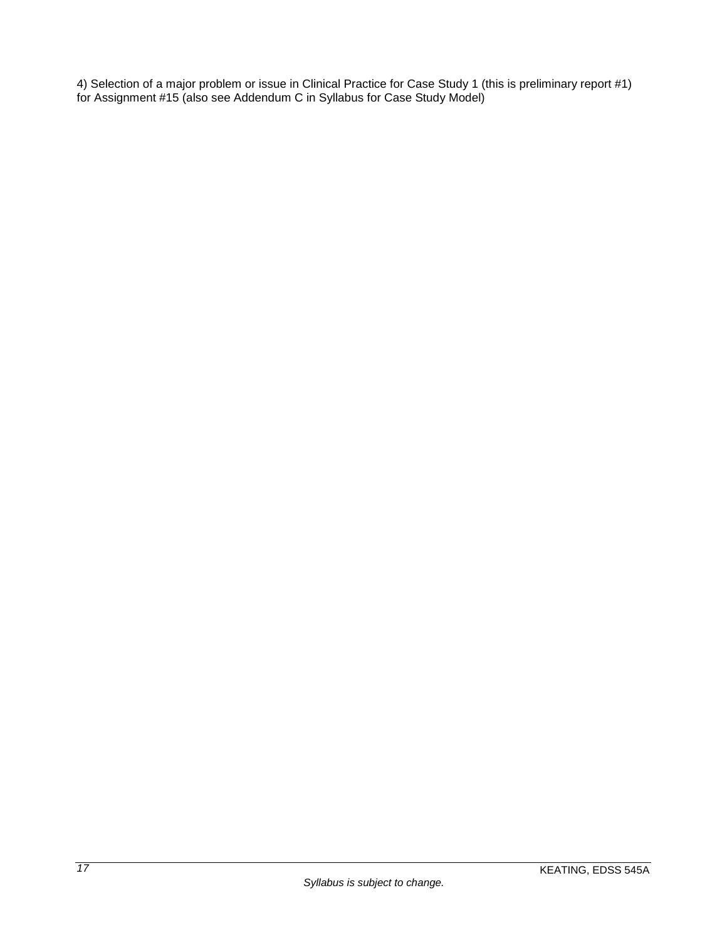4) Selection of a major problem or issue in Clinical Practice for Case Study 1 (this is preliminary report #1) for Assignment #15 (also see Addendum C in Syllabus for Case Study Model)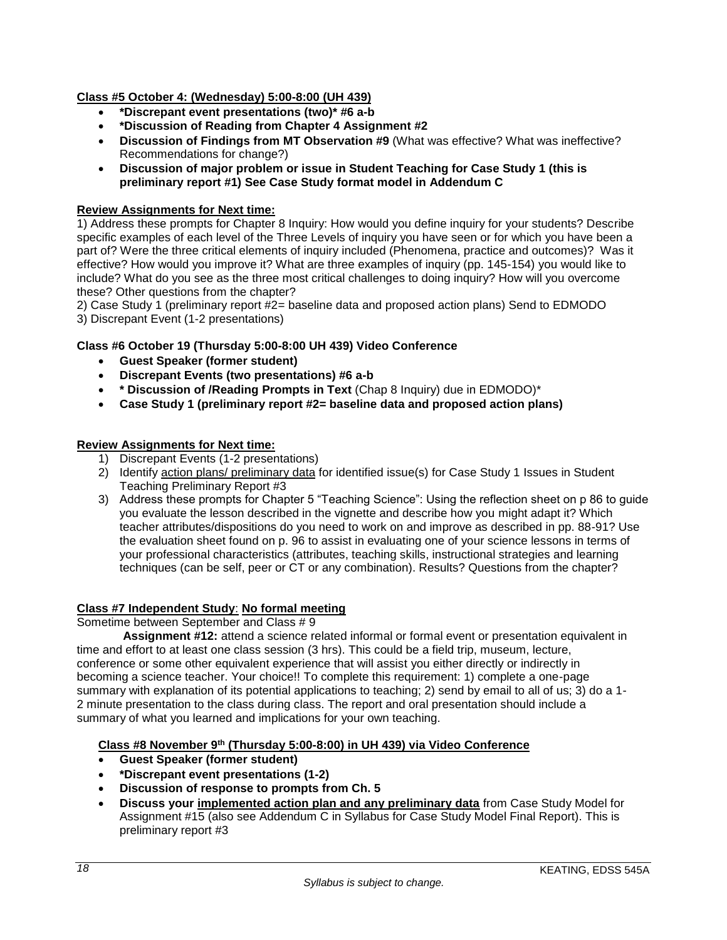# **Class #5 October 4: (Wednesday) 5:00-8:00 (UH 439)**

- **\*Discrepant event presentations (two)\* #6 a-b**
- **\*Discussion of Reading from Chapter 4 Assignment #2**
- **Discussion of Findings from MT Observation #9** (What was effective? What was ineffective? Recommendations for change?)
- **Discussion of major problem or issue in Student Teaching for Case Study 1 (this is preliminary report #1) See Case Study format model in Addendum C**

### **Review Assignments for Next time:**

1) Address these prompts for Chapter 8 Inquiry: How would you define inquiry for your students? Describe specific examples of each level of the Three Levels of inquiry you have seen or for which you have been a part of? Were the three critical elements of inquiry included (Phenomena, practice and outcomes)? Was it effective? How would you improve it? What are three examples of inquiry (pp. 145-154) you would like to include? What do you see as the three most critical challenges to doing inquiry? How will you overcome these? Other questions from the chapter?

2) Case Study 1 (preliminary report #2= baseline data and proposed action plans) Send to EDMODO 3) Discrepant Event (1-2 presentations)

### **Class #6 October 19 (Thursday 5:00-8:00 UH 439) Video Conference**

- **Guest Speaker (former student)**
- **Discrepant Events (two presentations) #6 a-b**
- **\* Discussion of /Reading Prompts in Text** (Chap 8 Inquiry) due in EDMODO)\*
- **Case Study 1 (preliminary report #2= baseline data and proposed action plans)**

#### **Review Assignments for Next time:**

- 1) Discrepant Events (1-2 presentations)
- 2) Identify action plans/ preliminary data for identified issue(s) for Case Study 1 Issues in Student Teaching Preliminary Report #3
- 3) Address these prompts for Chapter 5 "Teaching Science": Using the reflection sheet on p 86 to guide you evaluate the lesson described in the vignette and describe how you might adapt it? Which teacher attributes/dispositions do you need to work on and improve as described in pp. 88-91? Use the evaluation sheet found on p. 96 to assist in evaluating one of your science lessons in terms of your professional characteristics (attributes, teaching skills, instructional strategies and learning techniques (can be self, peer or CT or any combination). Results? Questions from the chapter?

#### **Class #7 Independent Study**: **No formal meeting**

# Sometime between September and Class # 9

**Assignment #12:** attend a science related informal or formal event or presentation equivalent in time and effort to at least one class session (3 hrs). This could be a field trip, museum, lecture, conference or some other equivalent experience that will assist you either directly or indirectly in becoming a science teacher. Your choice!! To complete this requirement: 1) complete a one-page summary with explanation of its potential applications to teaching; 2) send by email to all of us; 3) do a 1- 2 minute presentation to the class during class. The report and oral presentation should include a summary of what you learned and implications for your own teaching.

**Class #8 November 9th (Thursday 5:00-8:00) in UH 439) via Video Conference** 

- **Guest Speaker (former student)**
- **\*Discrepant event presentations (1-2)**
- **Discussion of response to prompts from Ch. 5**
- **Discuss your implemented action plan and any preliminary data** from Case Study Model for Assignment #15 (also see Addendum C in Syllabus for Case Study Model Final Report). This is preliminary report #3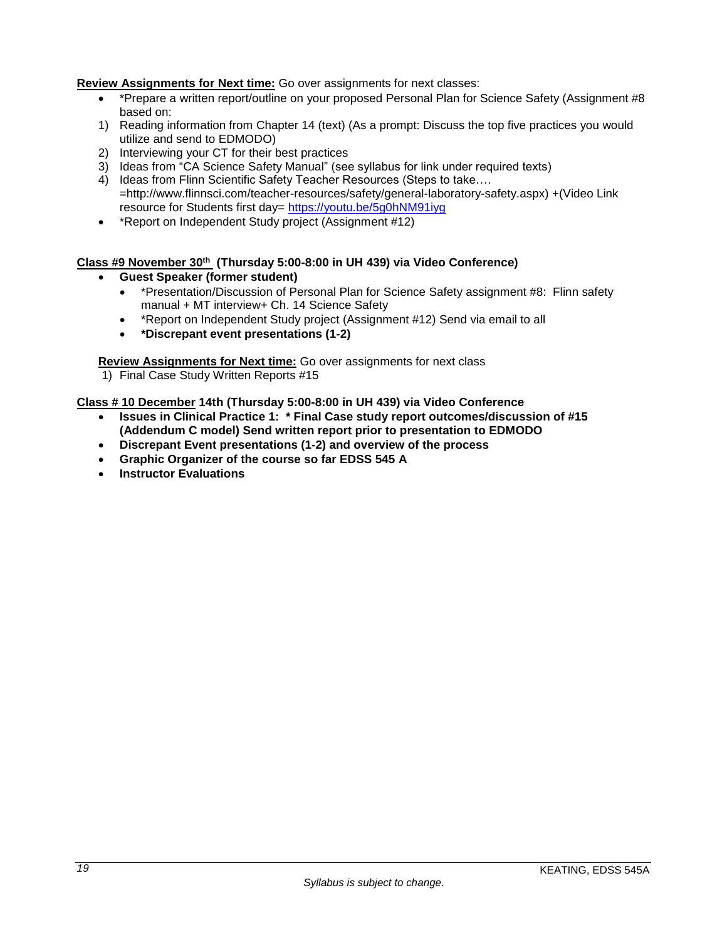# **Review Assignments for Next time:** Go over assignments for next classes:

- \* \*Prepare a written report/outline on your proposed Personal Plan for Science Safety (Assignment #8 based on:
- 1) Reading information from Chapter 14 (text) (As a prompt: Discuss the top five practices you would utilize and send to EDMODO)
- 2) Interviewing your CT for their best practices
- 3) Ideas from "CA Science Safety Manual" (see syllabus for link under required texts)
- 4) Ideas from Flinn Scientific Safety Teacher Resources (Steps to take.... =http://www.flinnsci.com/teacher-resources/safety/general-laboratory-safety.aspx) +(Video Link resource for Students first day=<https://youtu.be/5g0hNM91iyg>
- \*Report on Independent Study project (Assignment #12)

# **Class #9 November 30th (Thursday 5:00-8:00 in UH 439) via Video Conference)**

- **Guest Speaker (former student)**
	- \*Presentation/Discussion of Personal Plan for Science Safety assignment #8: Flinn safety manual + MT interview+ Ch. 14 Science Safety
	- \*Report on Independent Study project (Assignment #12) Send via email to all
	- **\*Discrepant event presentations (1-2)**

**Review Assignments for Next time:** Go over assignments for next class

1) Final Case Study Written Reports #15

**Class # 10 December 14th (Thursday 5:00-8:00 in UH 439) via Video Conference**

- **Issues in Clinical Practice 1: \* Final Case study report outcomes/discussion of #15 (Addendum C model) Send written report prior to presentation to EDMODO**
- **Discrepant Event presentations (1-2) and overview of the process**
- **Graphic Organizer of the course so far EDSS 545 A**
- **Instructor Evaluations**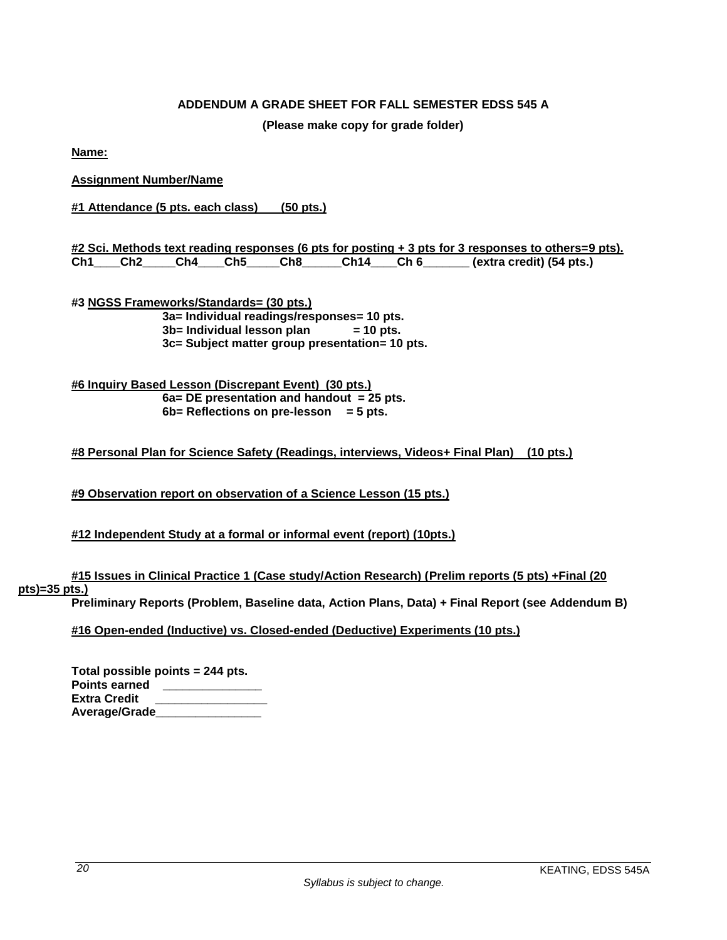# **ADDENDUM A GRADE SHEET FOR FALL SEMESTER EDSS 545 A**

**(Please make copy for grade folder)**

<span id="page-19-0"></span>**Name:**

**Assignment Number/Name**

**#1 Attendance (5 pts. each class) (50 pts.)**

|  |  |  | #2 Sci. Methods text reading responses (6 pts for posting + 3 pts for 3 responses to others=9 pts). |
|--|--|--|-----------------------------------------------------------------------------------------------------|
|  |  |  | Ch1____Ch2_____Ch4____Ch5_____Ch8______Ch14____Ch 6________ (extra credit) (54 pts.)                |

**#3 NGSS Frameworks/Standards= (30 pts.) 3a= Individual readings/responses= 10 pts. 3b= Individual lesson plan = 10 pts. 3c= Subject matter group presentation= 10 pts.**

**#6 Inquiry Based Lesson (Discrepant Event) (30 pts.) 6a= DE presentation and handout = 25 pts. 6b= Reflections on pre-lesson = 5 pts.**

```
#8 Personal Plan for Science Safety (Readings, interviews, Videos+ Final Plan) (10 pts.)
```
**#9 Observation report on observation of a Science Lesson (15 pts.)**

# **#12 Independent Study at a formal or informal event (report) (10pts.)**

**#15 Issues in Clinical Practice 1 (Case study/Action Research) (Prelim reports (5 pts) +Final (20 pts)=35 pts.)**

**Preliminary Reports (Problem, Baseline data, Action Plans, Data) + Final Report (see Addendum B)**

**#16 Open-ended (Inductive) vs. Closed-ended (Deductive) Experiments (10 pts.)**

|               | Total possible points = 244 pts. |
|---------------|----------------------------------|
| Points earned |                                  |
| Extra Credit  |                                  |
| Average/Grade |                                  |